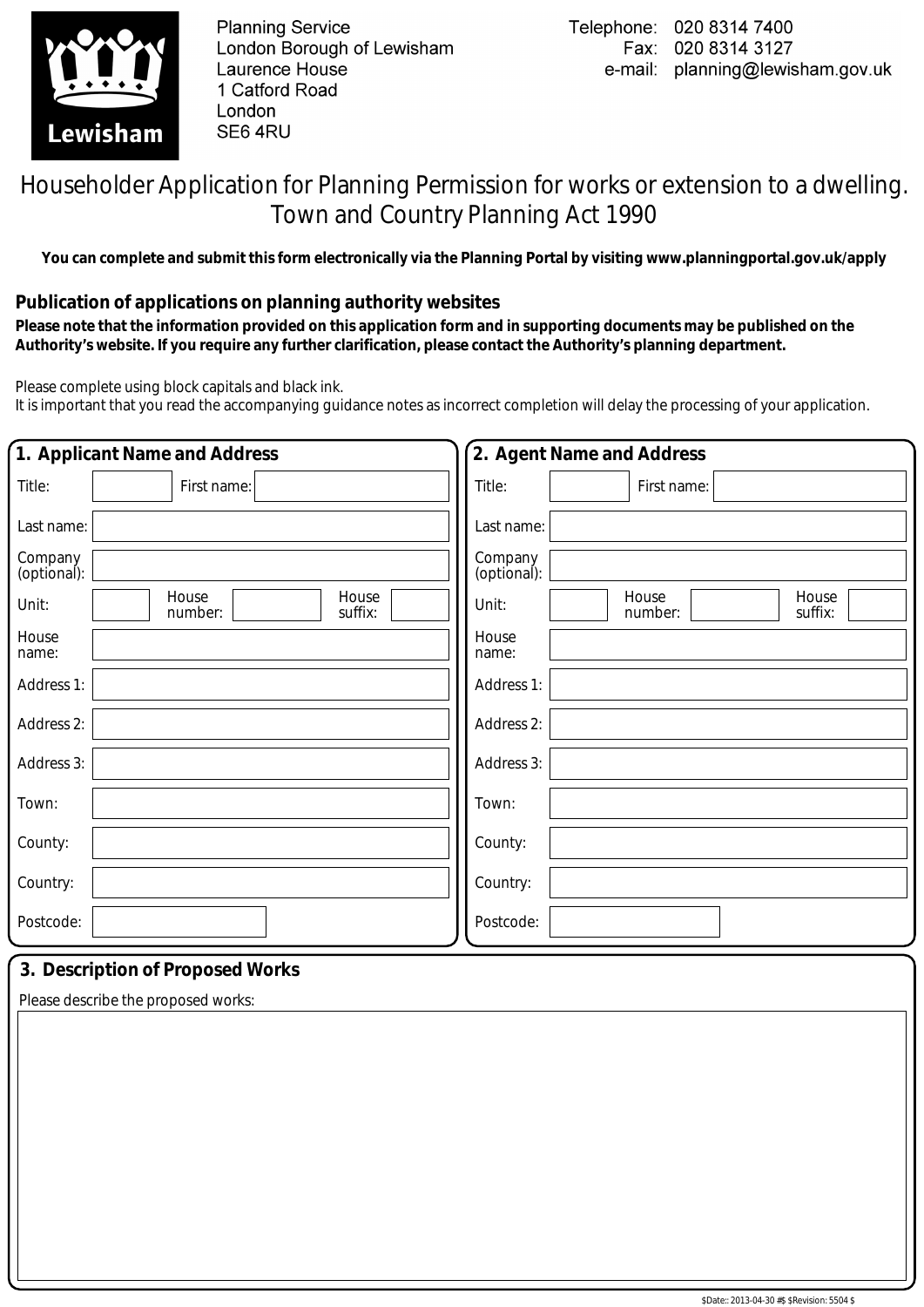

**Planning Service** London Borough of Lewisham Laurence House 1 Catford Road London SE6 4RU

## Householder Application for Planning Permission for works or extension to a dwelling. Town and Country Planning Act 1990

**You can complete and submit this form electronically via the Planning Portal by visiting www.planningportal.gov.uk/apply**

## **Publication of applications on planning authority websites**

 **Please note that the information provided on this application form and in supporting documents may be published on the Authority's website. If you require any further clarification, please contact the Authority's planning department.**

Please complete using block capitals and black ink.

It is important that you read the accompanying guidance notes as incorrect completion will delay the processing of your application.

| 1. Applicant Name and Address                 | 2. Agent Name and Address                     |
|-----------------------------------------------|-----------------------------------------------|
| Title:<br>First name:                         | Title:<br>First name:                         |
| Last name:                                    | Last name:                                    |
| Company<br>(optional):                        | Company<br>(optional):                        |
| House<br>House<br>Unit:<br>suffix:<br>number: | House<br>House<br>Unit:<br>number:<br>suffix: |
| House<br>name:                                | House<br>name:                                |
| Address 1:                                    | Address 1:                                    |
| Address 2:                                    | Address 2:                                    |
| Address 3:                                    | Address 3:                                    |
| Town:                                         | Town:                                         |
| County:                                       | County:                                       |
| Country:                                      | Country:                                      |
| Postcode:                                     | Postcode:                                     |
| 2 Deceription of Drapocod Warks               |                                               |

## **3. Description of Proposed Works**

Please describe the proposed works: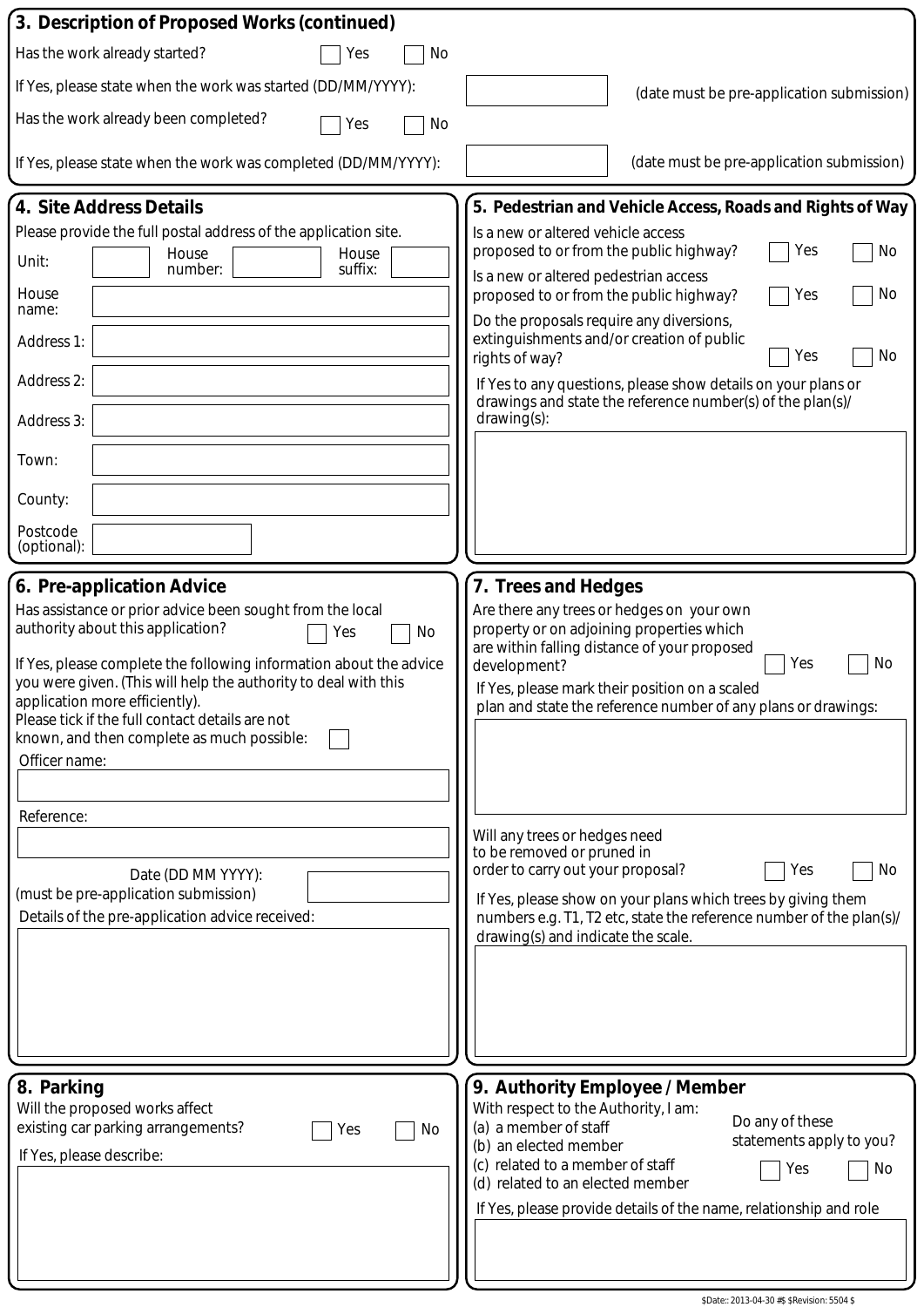| 3. Description of Proposed Works (continued)                                                                                                                                                                                                                                                                                                                                                                                                                                                                                            |                                                                                                                                                                                                                                                                                                                                                                                                                                                                                                                                                                                      |
|-----------------------------------------------------------------------------------------------------------------------------------------------------------------------------------------------------------------------------------------------------------------------------------------------------------------------------------------------------------------------------------------------------------------------------------------------------------------------------------------------------------------------------------------|--------------------------------------------------------------------------------------------------------------------------------------------------------------------------------------------------------------------------------------------------------------------------------------------------------------------------------------------------------------------------------------------------------------------------------------------------------------------------------------------------------------------------------------------------------------------------------------|
| Has the work already started?<br>Yes<br>No                                                                                                                                                                                                                                                                                                                                                                                                                                                                                              |                                                                                                                                                                                                                                                                                                                                                                                                                                                                                                                                                                                      |
| If Yes, please state when the work was started (DD/MM/YYYY):                                                                                                                                                                                                                                                                                                                                                                                                                                                                            | (date must be pre-application submission)                                                                                                                                                                                                                                                                                                                                                                                                                                                                                                                                            |
| Has the work already been completed?<br>Yes<br>No                                                                                                                                                                                                                                                                                                                                                                                                                                                                                       |                                                                                                                                                                                                                                                                                                                                                                                                                                                                                                                                                                                      |
| If Yes, please state when the work was completed (DD/MM/YYYY):                                                                                                                                                                                                                                                                                                                                                                                                                                                                          | (date must be pre-application submission)                                                                                                                                                                                                                                                                                                                                                                                                                                                                                                                                            |
| 4. Site Address Details                                                                                                                                                                                                                                                                                                                                                                                                                                                                                                                 | 5. Pedestrian and Vehicle Access, Roads and Rights of Way                                                                                                                                                                                                                                                                                                                                                                                                                                                                                                                            |
| Please provide the full postal address of the application site.                                                                                                                                                                                                                                                                                                                                                                                                                                                                         | Is a new or altered vehicle access                                                                                                                                                                                                                                                                                                                                                                                                                                                                                                                                                   |
| House<br>House<br>Unit:<br>suffix:<br>number:                                                                                                                                                                                                                                                                                                                                                                                                                                                                                           | proposed to or from the public highway?<br>Yes<br>No<br>Is a new or altered pedestrian access                                                                                                                                                                                                                                                                                                                                                                                                                                                                                        |
| House<br>name:                                                                                                                                                                                                                                                                                                                                                                                                                                                                                                                          | proposed to or from the public highway?<br>No<br>Yes                                                                                                                                                                                                                                                                                                                                                                                                                                                                                                                                 |
| Address 1:                                                                                                                                                                                                                                                                                                                                                                                                                                                                                                                              | Do the proposals require any diversions,<br>extinguishments and/or creation of public<br>Yes<br>No<br>rights of way?                                                                                                                                                                                                                                                                                                                                                                                                                                                                 |
| Address 2:                                                                                                                                                                                                                                                                                                                                                                                                                                                                                                                              | If Yes to any questions, please show details on your plans or<br>drawings and state the reference number(s) of the plan(s)/                                                                                                                                                                                                                                                                                                                                                                                                                                                          |
| Address 3:                                                                                                                                                                                                                                                                                                                                                                                                                                                                                                                              | drawing(s):                                                                                                                                                                                                                                                                                                                                                                                                                                                                                                                                                                          |
| Town:                                                                                                                                                                                                                                                                                                                                                                                                                                                                                                                                   |                                                                                                                                                                                                                                                                                                                                                                                                                                                                                                                                                                                      |
| County:                                                                                                                                                                                                                                                                                                                                                                                                                                                                                                                                 |                                                                                                                                                                                                                                                                                                                                                                                                                                                                                                                                                                                      |
| Postcode<br>(optional):                                                                                                                                                                                                                                                                                                                                                                                                                                                                                                                 |                                                                                                                                                                                                                                                                                                                                                                                                                                                                                                                                                                                      |
| 6. Pre-application Advice                                                                                                                                                                                                                                                                                                                                                                                                                                                                                                               | 7. Trees and Hedges                                                                                                                                                                                                                                                                                                                                                                                                                                                                                                                                                                  |
| Has assistance or prior advice been sought from the local<br>authority about this application?<br>No<br>Yes<br>If Yes, please complete the following information about the advice<br>you were given. (This will help the authority to deal with this<br>application more efficiently).<br>Please tick if the full contact details are not<br>known, and then complete as much possible:<br>Officer name:<br>Reference:<br>Date (DD MM YYYY):<br>(must be pre-application submission)<br>Details of the pre-application advice received: | Are there any trees or hedges on your own<br>property or on adjoining properties which<br>are within falling distance of your proposed<br>No<br>Yes<br>development?<br>If Yes, please mark their position on a scaled<br>plan and state the reference number of any plans or drawings:<br>Will any trees or hedges need<br>to be removed or pruned in<br>order to carry out your proposal?<br>No<br>Yes<br>If Yes, please show on your plans which trees by giving them<br>numbers e.g. T1, T2 etc, state the reference number of the plan(s)/<br>drawing(s) and indicate the scale. |
| 8. Parking<br>Will the proposed works affect<br>existing car parking arrangements?<br>No<br>Yes<br>If Yes, please describe:                                                                                                                                                                                                                                                                                                                                                                                                             | 9. Authority Employee / Member<br>With respect to the Authority, I am:<br>Do any of these<br>(a) a member of staff<br>statements apply to you?<br>(b) an elected member<br>(c) related to a member of staff<br>No<br>Yes<br>(d) related to an elected member<br>If Yes, please provide details of the name, relationship and role                                                                                                                                                                                                                                                    |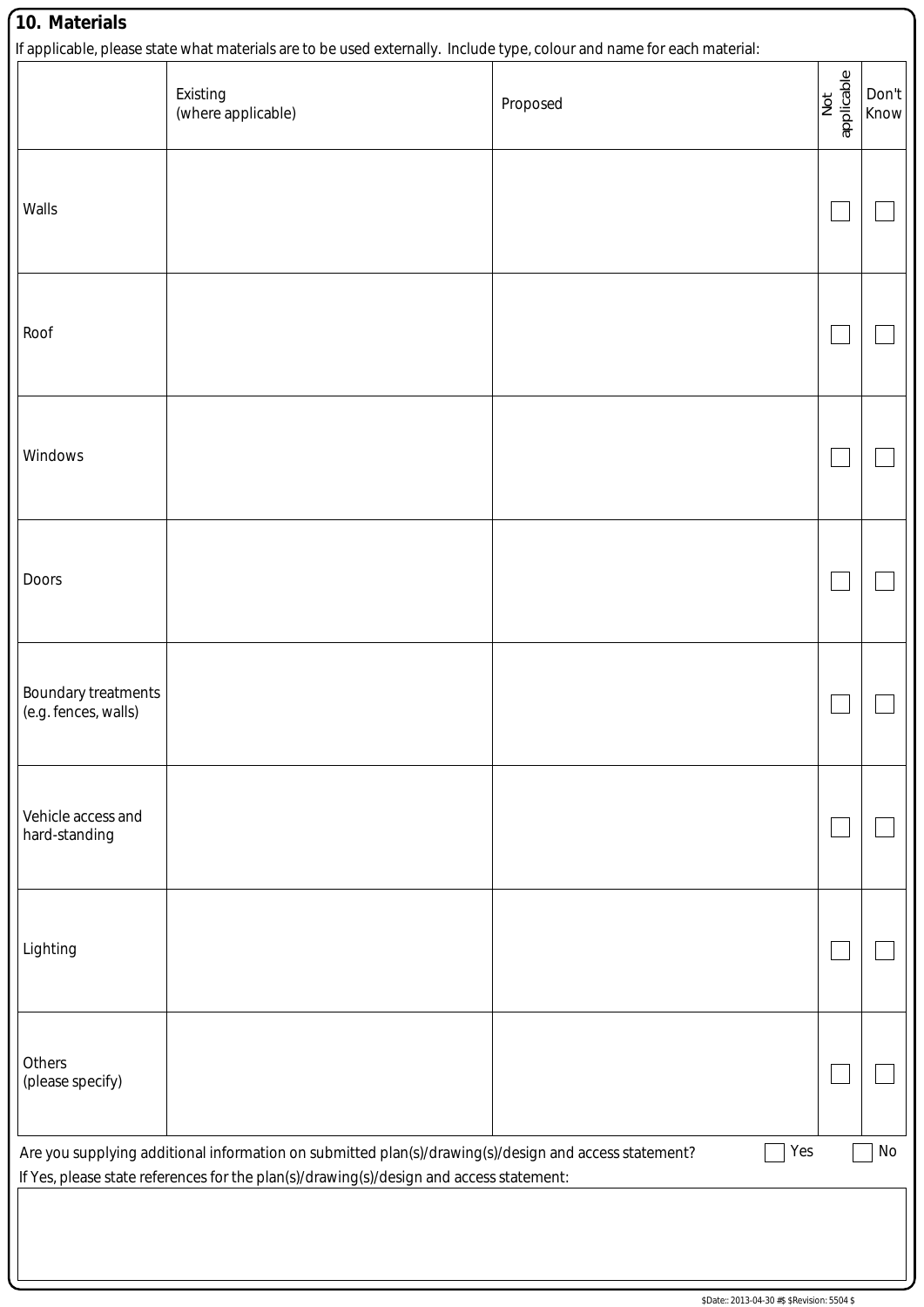| Walls<br>Roof<br>Windows<br>Doors<br>Boundary treatments<br>(e.g. fences, walls)<br>Vehicle access and<br>hard-standing                                                                                       |  |  |
|---------------------------------------------------------------------------------------------------------------------------------------------------------------------------------------------------------------|--|--|
|                                                                                                                                                                                                               |  |  |
|                                                                                                                                                                                                               |  |  |
|                                                                                                                                                                                                               |  |  |
|                                                                                                                                                                                                               |  |  |
|                                                                                                                                                                                                               |  |  |
|                                                                                                                                                                                                               |  |  |
| Lighting                                                                                                                                                                                                      |  |  |
| Others<br>(please specify)                                                                                                                                                                                    |  |  |
| Are you supplying additional information on submitted plan(s)/drawing(s)/design and access statement?<br>Yes<br>No<br>If Yes, please state references for the plan(s)/drawing(s)/design and access statement: |  |  |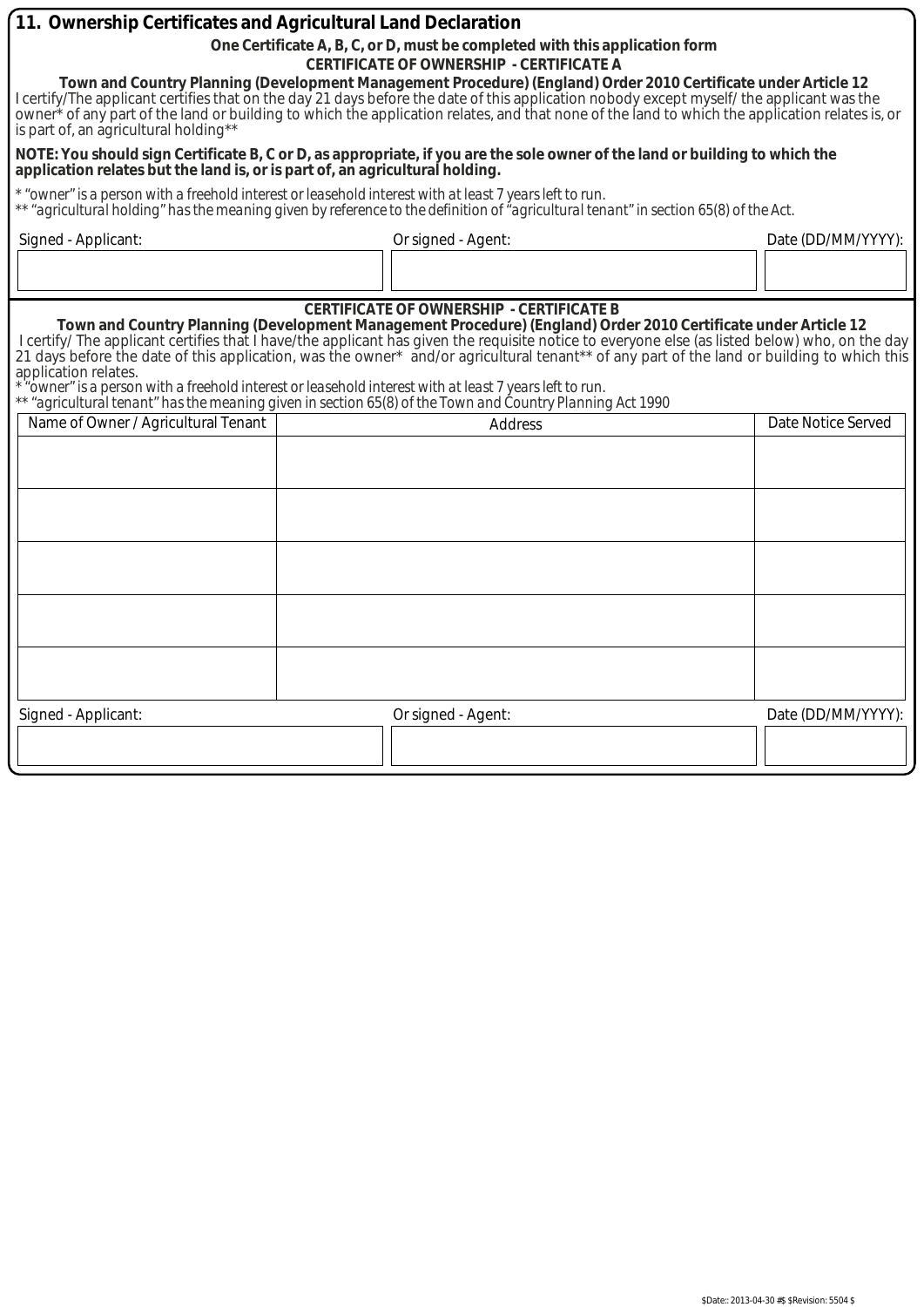| 11. Ownership Certificates and Agricultural Land Declaration                                                                                                                                                                                                                                                                                                                                                                                 |                                                                                                                                                                                                                                                                                                                                                                                                                                                                                                                                                                                                                                                                                      |                    |  |  |
|----------------------------------------------------------------------------------------------------------------------------------------------------------------------------------------------------------------------------------------------------------------------------------------------------------------------------------------------------------------------------------------------------------------------------------------------|--------------------------------------------------------------------------------------------------------------------------------------------------------------------------------------------------------------------------------------------------------------------------------------------------------------------------------------------------------------------------------------------------------------------------------------------------------------------------------------------------------------------------------------------------------------------------------------------------------------------------------------------------------------------------------------|--------------------|--|--|
| One Certificate A, B, C, or D, must be completed with this application form                                                                                                                                                                                                                                                                                                                                                                  |                                                                                                                                                                                                                                                                                                                                                                                                                                                                                                                                                                                                                                                                                      |                    |  |  |
| <b>CERTIFICATE OF OWNERSHIP - CERTIFICATE A</b><br>Town and Country Planning (Development Management Procedure) (England) Order 2010 Certificate under Article 12<br>I certify/The applicant certifies that on the day 21 days before the date of this application nobody except myself/ the applicant was the owner * of any part of the land or building to which the application relates, and th<br>is part of, an agricultural holding** |                                                                                                                                                                                                                                                                                                                                                                                                                                                                                                                                                                                                                                                                                      |                    |  |  |
| NOTE: You should sign Certificate B, C or D, as appropriate, if you are the sole owner of the land or building to which the<br>application relates but the land is, or is part of, an agricultural holding.                                                                                                                                                                                                                                  |                                                                                                                                                                                                                                                                                                                                                                                                                                                                                                                                                                                                                                                                                      |                    |  |  |
|                                                                                                                                                                                                                                                                                                                                                                                                                                              | * "owner" is a person with a freehold interest or leasehold interest with at least 7 years left to run.<br>** "agricultural holding" has the meaning given by reference to the definition of "agricultural tenant" in section 65(8) of the Act.                                                                                                                                                                                                                                                                                                                                                                                                                                      |                    |  |  |
| Signed - Applicant:                                                                                                                                                                                                                                                                                                                                                                                                                          | Or signed - Agent:                                                                                                                                                                                                                                                                                                                                                                                                                                                                                                                                                                                                                                                                   | Date (DD/MM/YYYY): |  |  |
|                                                                                                                                                                                                                                                                                                                                                                                                                                              |                                                                                                                                                                                                                                                                                                                                                                                                                                                                                                                                                                                                                                                                                      |                    |  |  |
| application relates.                                                                                                                                                                                                                                                                                                                                                                                                                         | <b>CERTIFICATE OF OWNERSHIP - CERTIFICATE B</b><br>Town and Country Planning (Development Management Procedure) (England) Order 2010 Certificate under Article 12<br>I certify/ The applicant certifies that I have/the applicant has given the requisite notice to everyone else (as listed below) who, on the day<br>21 days before the date of this application, was the owner* and/or agricultural tenant** of any part of the land or building to which this<br>owner" is a person with a freehold interest or leasehold interest with at least 7 years left to run."<br>"agricultural tenant" has the meaning given in section 65(8) of the Town and Country Planning Act 1990 |                    |  |  |
| Name of Owner / Agricultural Tenant                                                                                                                                                                                                                                                                                                                                                                                                          | <b>Address</b>                                                                                                                                                                                                                                                                                                                                                                                                                                                                                                                                                                                                                                                                       | Date Notice Served |  |  |
|                                                                                                                                                                                                                                                                                                                                                                                                                                              |                                                                                                                                                                                                                                                                                                                                                                                                                                                                                                                                                                                                                                                                                      |                    |  |  |
|                                                                                                                                                                                                                                                                                                                                                                                                                                              |                                                                                                                                                                                                                                                                                                                                                                                                                                                                                                                                                                                                                                                                                      |                    |  |  |
|                                                                                                                                                                                                                                                                                                                                                                                                                                              |                                                                                                                                                                                                                                                                                                                                                                                                                                                                                                                                                                                                                                                                                      |                    |  |  |
|                                                                                                                                                                                                                                                                                                                                                                                                                                              |                                                                                                                                                                                                                                                                                                                                                                                                                                                                                                                                                                                                                                                                                      |                    |  |  |
|                                                                                                                                                                                                                                                                                                                                                                                                                                              |                                                                                                                                                                                                                                                                                                                                                                                                                                                                                                                                                                                                                                                                                      |                    |  |  |
|                                                                                                                                                                                                                                                                                                                                                                                                                                              |                                                                                                                                                                                                                                                                                                                                                                                                                                                                                                                                                                                                                                                                                      |                    |  |  |
| Signed - Applicant:                                                                                                                                                                                                                                                                                                                                                                                                                          | Or signed - Agent:                                                                                                                                                                                                                                                                                                                                                                                                                                                                                                                                                                                                                                                                   | Date (DD/MM/YYYY): |  |  |
|                                                                                                                                                                                                                                                                                                                                                                                                                                              |                                                                                                                                                                                                                                                                                                                                                                                                                                                                                                                                                                                                                                                                                      |                    |  |  |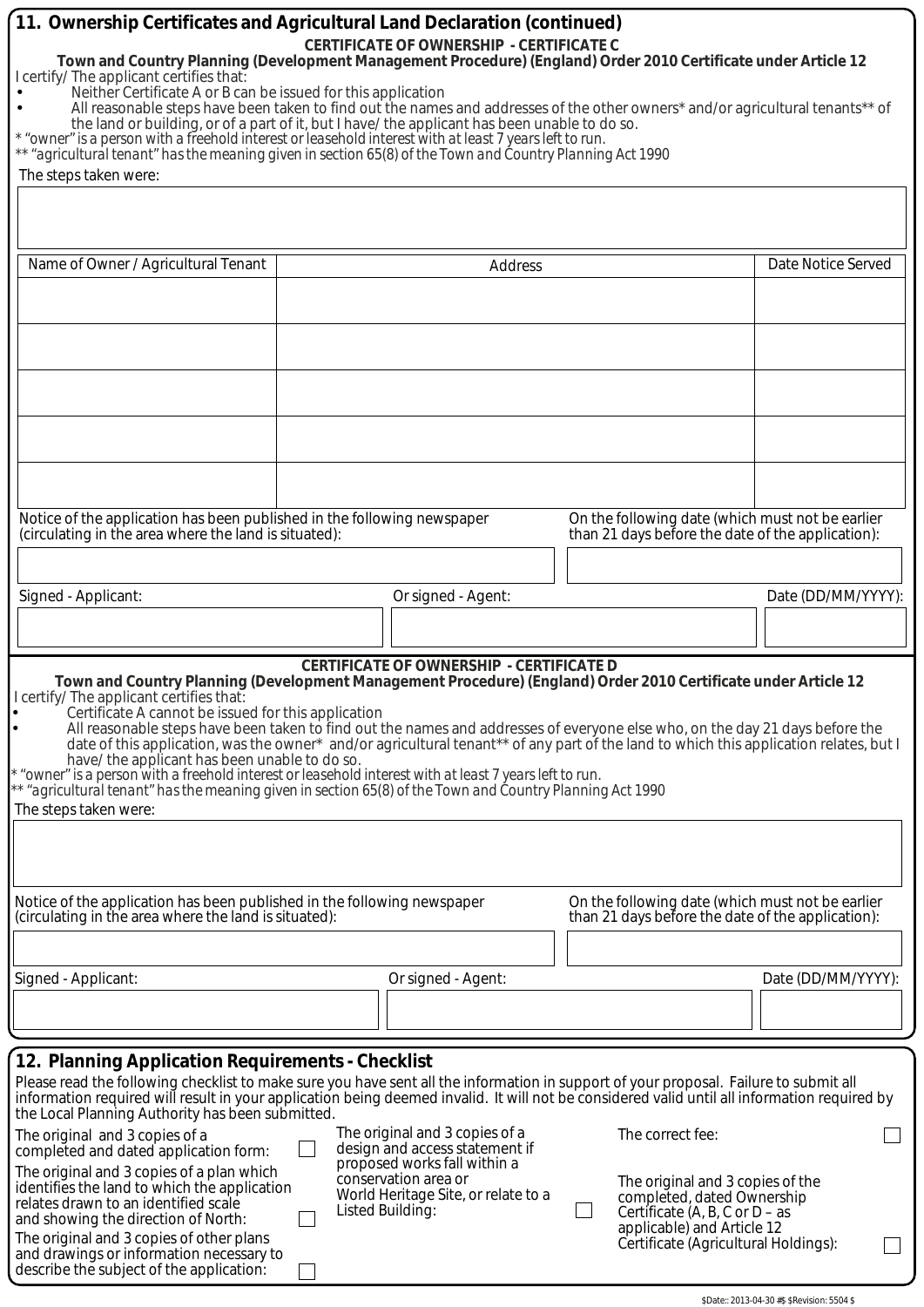| 11. Ownership Certificates and Agricultural Land Declaration (continued)<br><b>CERTIFICATE OF OWNERSHIP - CERTIFICATE C</b><br>Town and Country Planning (Development Management Procedure) (England) Order 2010 Certificate under Article 12<br>I certify/ The applicant certifies that:<br>Neither Certificate A or B can be issued for this application<br>All reasonable steps have been taken to find out the names and addresses of the other owners* and/or agricultural tenants** of<br>the land or building, or of a part of it, but I have/ the applicant has been unable to do so.<br>* "owner" is a person with a freehold interest or leasehold interest with at least 7 years left to run.<br>** "agricultural tenant" has the meaning given in section 65(8) of the Town and Country Planning Act 1990<br>The steps taken were: |                                                                                                                                                                                                                                                                         |                                                                                                                                                                                                                                                                                                                                                                                          |  |  |
|------------------------------------------------------------------------------------------------------------------------------------------------------------------------------------------------------------------------------------------------------------------------------------------------------------------------------------------------------------------------------------------------------------------------------------------------------------------------------------------------------------------------------------------------------------------------------------------------------------------------------------------------------------------------------------------------------------------------------------------------------------------------------------------------------------------------------------------------|-------------------------------------------------------------------------------------------------------------------------------------------------------------------------------------------------------------------------------------------------------------------------|------------------------------------------------------------------------------------------------------------------------------------------------------------------------------------------------------------------------------------------------------------------------------------------------------------------------------------------------------------------------------------------|--|--|
| Name of Owner / Agricultural Tenant                                                                                                                                                                                                                                                                                                                                                                                                                                                                                                                                                                                                                                                                                                                                                                                                            | Address                                                                                                                                                                                                                                                                 | Date Notice Served                                                                                                                                                                                                                                                                                                                                                                       |  |  |
|                                                                                                                                                                                                                                                                                                                                                                                                                                                                                                                                                                                                                                                                                                                                                                                                                                                |                                                                                                                                                                                                                                                                         |                                                                                                                                                                                                                                                                                                                                                                                          |  |  |
|                                                                                                                                                                                                                                                                                                                                                                                                                                                                                                                                                                                                                                                                                                                                                                                                                                                |                                                                                                                                                                                                                                                                         |                                                                                                                                                                                                                                                                                                                                                                                          |  |  |
|                                                                                                                                                                                                                                                                                                                                                                                                                                                                                                                                                                                                                                                                                                                                                                                                                                                |                                                                                                                                                                                                                                                                         |                                                                                                                                                                                                                                                                                                                                                                                          |  |  |
|                                                                                                                                                                                                                                                                                                                                                                                                                                                                                                                                                                                                                                                                                                                                                                                                                                                |                                                                                                                                                                                                                                                                         |                                                                                                                                                                                                                                                                                                                                                                                          |  |  |
|                                                                                                                                                                                                                                                                                                                                                                                                                                                                                                                                                                                                                                                                                                                                                                                                                                                |                                                                                                                                                                                                                                                                         |                                                                                                                                                                                                                                                                                                                                                                                          |  |  |
|                                                                                                                                                                                                                                                                                                                                                                                                                                                                                                                                                                                                                                                                                                                                                                                                                                                |                                                                                                                                                                                                                                                                         |                                                                                                                                                                                                                                                                                                                                                                                          |  |  |
|                                                                                                                                                                                                                                                                                                                                                                                                                                                                                                                                                                                                                                                                                                                                                                                                                                                |                                                                                                                                                                                                                                                                         |                                                                                                                                                                                                                                                                                                                                                                                          |  |  |
| Notice of the application has been published in the following newspaper<br>(circulating in the area where the land is situated):                                                                                                                                                                                                                                                                                                                                                                                                                                                                                                                                                                                                                                                                                                               |                                                                                                                                                                                                                                                                         | On the following date (which must not be earlier<br>than 21 days before the date of the application):                                                                                                                                                                                                                                                                                    |  |  |
|                                                                                                                                                                                                                                                                                                                                                                                                                                                                                                                                                                                                                                                                                                                                                                                                                                                |                                                                                                                                                                                                                                                                         |                                                                                                                                                                                                                                                                                                                                                                                          |  |  |
| Signed - Applicant:                                                                                                                                                                                                                                                                                                                                                                                                                                                                                                                                                                                                                                                                                                                                                                                                                            | Or signed - Agent:                                                                                                                                                                                                                                                      | Date (DD/MM/YYYY):                                                                                                                                                                                                                                                                                                                                                                       |  |  |
|                                                                                                                                                                                                                                                                                                                                                                                                                                                                                                                                                                                                                                                                                                                                                                                                                                                |                                                                                                                                                                                                                                                                         |                                                                                                                                                                                                                                                                                                                                                                                          |  |  |
| I certify/ The applicant certifies that:<br>Certificate A cannot be issued for this application<br>have/ the applicant has been unable to do so.<br>The steps taken were:                                                                                                                                                                                                                                                                                                                                                                                                                                                                                                                                                                                                                                                                      | <b>CERTIFICATE OF OWNERSHIP - CERTIFICATE D</b><br>* "owner" is a person with a freehold interest or leasehold interest with at least 7 years left to run.<br>** "agricultural tenant" has the meaning given in section 65(8) of the Town and Country Planning Act 1990 | Town and Country Planning (Development Management Procedure) (England) Order 2010 Certificate under Article 12<br>All reasonable steps have been taken to find out the names and addresses of everyone else who, on the day 21 days before the<br>date of this application, was the owner* and/or agricultural tenant** of any part of the land to which this application relates, but I |  |  |
|                                                                                                                                                                                                                                                                                                                                                                                                                                                                                                                                                                                                                                                                                                                                                                                                                                                |                                                                                                                                                                                                                                                                         |                                                                                                                                                                                                                                                                                                                                                                                          |  |  |
| Notice of the application has been published in the following newspaper<br>(circulating in the area where the land is situated):                                                                                                                                                                                                                                                                                                                                                                                                                                                                                                                                                                                                                                                                                                               |                                                                                                                                                                                                                                                                         | On the following date (which must not be earlier<br>than 21 days before the date of the application):                                                                                                                                                                                                                                                                                    |  |  |
|                                                                                                                                                                                                                                                                                                                                                                                                                                                                                                                                                                                                                                                                                                                                                                                                                                                |                                                                                                                                                                                                                                                                         |                                                                                                                                                                                                                                                                                                                                                                                          |  |  |
| Signed - Applicant:                                                                                                                                                                                                                                                                                                                                                                                                                                                                                                                                                                                                                                                                                                                                                                                                                            | Or signed - Agent:                                                                                                                                                                                                                                                      | Date (DD/MM/YYYY):                                                                                                                                                                                                                                                                                                                                                                       |  |  |
|                                                                                                                                                                                                                                                                                                                                                                                                                                                                                                                                                                                                                                                                                                                                                                                                                                                |                                                                                                                                                                                                                                                                         |                                                                                                                                                                                                                                                                                                                                                                                          |  |  |
| 12. Planning Application Requirements - Checklist<br>the Local Planning Authority has been submitted.                                                                                                                                                                                                                                                                                                                                                                                                                                                                                                                                                                                                                                                                                                                                          |                                                                                                                                                                                                                                                                         | Please read the following checklist to make sure you have sent all the information in support of your proposal. Failure to submit all<br>information required will result in your application being deemed invalid. It will not be considered valid until all information required by                                                                                                    |  |  |
| The original and 3 copies of a<br>completed and dated application form:                                                                                                                                                                                                                                                                                                                                                                                                                                                                                                                                                                                                                                                                                                                                                                        | The original and 3 copies of a<br>design and access statement if                                                                                                                                                                                                        | The correct fee:                                                                                                                                                                                                                                                                                                                                                                         |  |  |
| The original and 3 copies of a plan which                                                                                                                                                                                                                                                                                                                                                                                                                                                                                                                                                                                                                                                                                                                                                                                                      | proposed works fall within a<br>conservation area or                                                                                                                                                                                                                    | The original and 3 copies of the                                                                                                                                                                                                                                                                                                                                                         |  |  |
| identifies the land to which the application<br>relates drawn to an identified scale                                                                                                                                                                                                                                                                                                                                                                                                                                                                                                                                                                                                                                                                                                                                                           | World Heritage Site, or relate to a<br>Listed Building:                                                                                                                                                                                                                 | completed, dated Ownership<br>Certificate $(A, B, C \text{ or } D - \text{as})$                                                                                                                                                                                                                                                                                                          |  |  |
| and showing the direction of North:<br>The original and 3 copies of other plans<br>and drawings or information necessary to<br>describe the subject of the application:                                                                                                                                                                                                                                                                                                                                                                                                                                                                                                                                                                                                                                                                        |                                                                                                                                                                                                                                                                         | applicable) and Article 12<br>Certificate (Agricultural Holdings):                                                                                                                                                                                                                                                                                                                       |  |  |